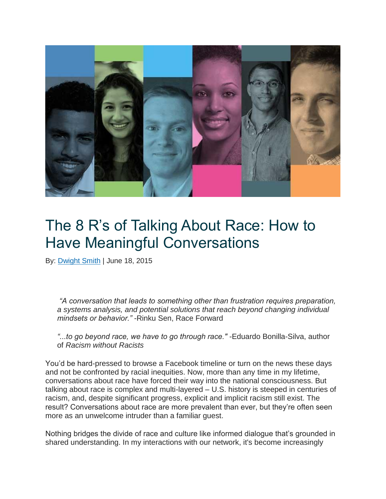

# The 8 R's of Talking About Race: How to Have Meaningful Conversations

By: [Dwight Smith](https://www.netimpact.org/blog/author/dwight-smith) | June 18, 2015

*"A conversation that leads to something other than frustration requires preparation, a systems analysis, and potential solutions that reach beyond changing individual mindsets or behavior."* -Rinku Sen, Race Forward

*"...to go beyond race, we have to go through race."* -Eduardo Bonilla-Silva, author of *Racism without Racists*

You'd be hard-pressed to browse a Facebook timeline or turn on the news these days and not be confronted by racial inequities. Now, more than any time in my lifetime, conversations about race have forced their way into the national consciousness. But talking about race is complex and multi-layered – U.S. history is steeped in centuries of racism, and, despite significant progress, explicit and implicit racism still exist. The result? Conversations about race are more prevalent than ever, but they're often seen more as an unwelcome intruder than a familiar guest.

Nothing bridges the divide of race and culture like informed dialogue that's grounded in shared understanding. In my interactions with our network, it's become increasingly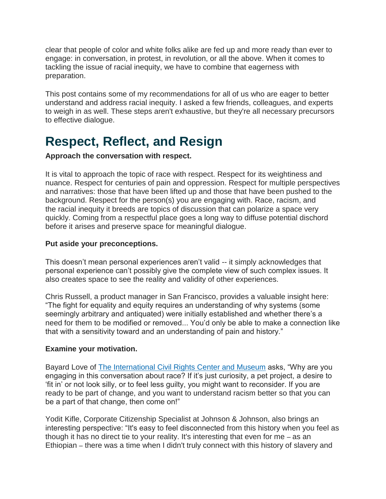clear that people of color and white folks alike are fed up and more ready than ever to engage: in conversation, in protest, in revolution, or all the above. When it comes to tackling the issue of racial inequity, we have to combine that eagerness with preparation.

This post contains some of my recommendations for all of us who are eager to better understand and address racial inequity. I asked a few friends, colleagues, and experts to weigh in as well. These steps aren't exhaustive, but they're all necessary precursors to effective dialogue.

# **Respect, Reflect, and Resign**

#### **Approach the conversation with respect.**

It is vital to approach the topic of race with respect. Respect for its weightiness and nuance. Respect for centuries of pain and oppression. Respect for multiple perspectives and narratives: those that have been lifted up and those that have been pushed to the background. Respect for the person(s) you are engaging with. Race, racism, and the racial inequity it breeds are topics of discussion that can polarize a space very quickly. Coming from a respectful place goes a long way to diffuse potential dischord before it arises and preserve space for meaningful dialogue.

#### **Put aside your preconceptions.**

This doesn't mean personal experiences aren't valid -- it simply acknowledges that personal experience can't possibly give the complete view of such complex issues. It also creates space to see the reality and validity of other experiences.

Chris Russell, a product manager in San Francisco, provides a valuable insight here: "The fight for equality and equity requires an understanding of why systems (some seemingly arbitrary and antiquated) were initially established and whether there's a need for them to be modified or removed... You'd only be able to make a connection like that with a sensitivity toward and an understanding of pain and history."

#### **Examine your motivation.**

Bayard Love of [The International Civil Rights Center and Museum](http://www.sitinmovement.org/) asks, "Why are you engaging in this conversation about race? If it's just curiosity, a pet project, a desire to 'fit in' or not look silly, or to feel less guilty, you might want to reconsider. If you are ready to be part of change, and you want to understand racism better so that you can be a part of that change, then come on!"

Yodit Kifle, Corporate Citizenship Specialist at Johnson & Johnson, also brings an interesting perspective: "It's easy to feel disconnected from this history when you feel as though it has no direct tie to your reality. It's interesting that even for me *–* as an Ethiopian *–* there was a time when I didn't truly connect with this history of slavery and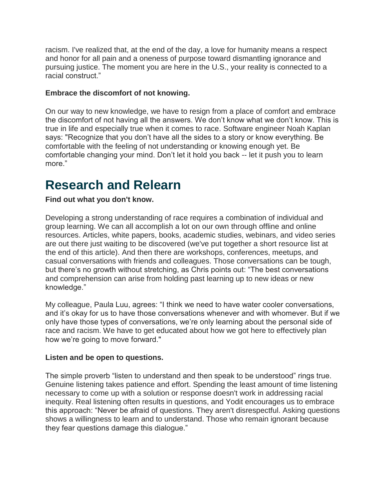racism. I've realized that, at the end of the day, a love for humanity means a respect and honor for all pain and a oneness of purpose toward dismantling ignorance and pursuing justice. The moment you are here in the U.S., your reality is connected to a racial construct."

#### **Embrace the discomfort of not knowing.**

On our way to new knowledge, we have to resign from a place of comfort and embrace the discomfort of not having all the answers. We don't know what we don't know. This is true in life and especially true when it comes to race. Software engineer Noah Kaplan says: "Recognize that you don't have all the sides to a story or know everything. Be comfortable with the feeling of not understanding or knowing enough yet. Be comfortable changing your mind. Don't let it hold you back -- let it push you to learn more."

### **Research and Relearn**

**Find out what you don't know.**

Developing a strong understanding of race requires a combination of individual and group learning. We can all accomplish a lot on our own through offline and online resources. Articles, white papers, books, academic studies, webinars, and video series are out there just waiting to be discovered (we've put together a short resource list at the end of this article). And then there are workshops, conferences, meetups, and casual conversations with friends and colleagues. Those conversations can be tough, but there's no growth without stretching, as Chris points out: "The best conversations and comprehension can arise from holding past learning up to new ideas or new knowledge."

My colleague, Paula Luu, agrees: "I think we need to have water cooler conversations, and it's okay for us to have those conversations whenever and with whomever. But if we only have those types of conversations, we're only learning about the personal side of race and racism. We have to get educated about how we got here to effectively plan how we're going to move forward."

#### **Listen and be open to questions.**

The simple proverb "listen to understand and then speak to be understood" rings true. Genuine listening takes patience and effort. Spending the least amount of time listening necessary to come up with a solution or response doesn't work in addressing racial inequity. Real listening often results in questions, and Yodit encourages us to embrace this approach: "Never be afraid of questions. They aren't disrespectful. Asking questions shows a willingness to learn and to understand. Those who remain ignorant because they fear questions damage this dialogue."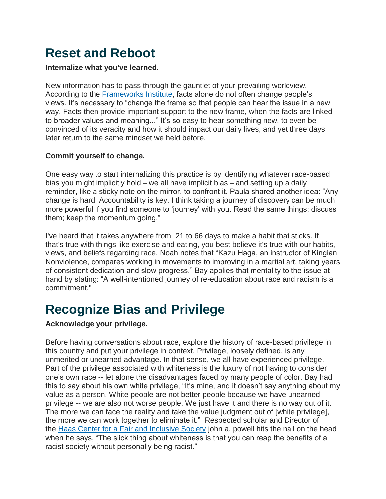# **Reset and Reboot**

#### **Internalize what you've learned.**

New information has to pass through the gauntlet of your prevailing worldview. According to the [Frameworks Institute,](http://www.frameworksinstitute.org/) facts alone do not often change people's views. It's necessary to "change the frame so that people can hear the issue in a new way. Facts then provide important support to the new frame, when the facts are linked to broader values and meaning..." It's so easy to hear something new, to even be convinced of its veracity and how it should impact our daily lives, and yet three days later return to the same mindset we held before.

#### **Commit yourself to change.**

One easy way to start internalizing this practice is by identifying whatever race-based bias you might implicitly hold *–* we all have implicit bias *–* and setting up a daily reminder, like a sticky note on the mirror, to confront it. Paula shared another idea: "Any change is hard. Accountability is key. I think taking a journey of discovery can be much more powerful if you find someone to 'journey' with you. Read the same things; discuss them; keep the momentum going."

I've heard that it takes anywhere from 21 to 66 days to make a habit that sticks. If that's true with things like exercise and eating, you best believe it's true with our habits, views, and beliefs regarding race. Noah notes that "Kazu Haga, an instructor of Kingian Nonviolence, compares working in movements to improving in a martial art, taking years of consistent dedication and slow progress." Bay applies that mentality to the issue at hand by stating: "A well-intentioned journey of re-education about race and racism is a commitment."

# **Recognize Bias and Privilege**

#### **Acknowledge your privilege.**

Before having conversations about race, explore the history of race-based privilege in this country and put your privilege in context. Privilege, loosely defined, is any unmerited or unearned advantage. In that sense, we all have experienced privilege. Part of the privilege associated with whiteness is the luxury of not having to consider one's own race -- let alone the disadvantages faced by many people of color. Bay had this to say about his own white privilege, "It's mine, and it doesn't say anything about my value as a person. White people are not better people because we have unearned privilege -- we are also not worse people. We just have it and there is no way out of it. The more we can face the reality and take the value judgment out of [white privilege], the more we can work together to eliminate it." Respected scholar and Director of the [Haas Center for a Fair and Inclusive Society](http://diversity.berkeley.edu/haas-institute) john a. powell hits the nail on the head when he says, "The slick thing about whiteness is that you can reap the benefits of a racist society without personally being racist."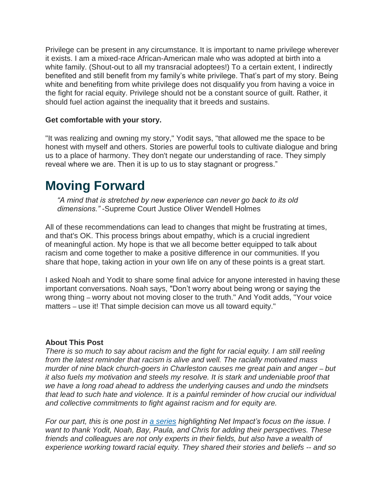Privilege can be present in any circumstance. It is important to name privilege wherever it exists. I am a mixed-race African-American male who was adopted at birth into a white family. (Shout-out to all my transracial adoptees!) To a certain extent, I indirectly benefited and still benefit from my family's white privilege. That's part of my story. Being white and benefiting from white privilege does not disqualify you from having a voice in the fight for racial equity. Privilege should not be a constant source of guilt. Rather, it should fuel action against the inequality that it breeds and sustains.

#### **Get comfortable with your story.**

"It was realizing and owning my story," Yodit says, "that allowed me the space to be honest with myself and others. Stories are powerful tools to cultivate dialogue and bring us to a place of harmony. They don't negate our understanding of race. They simply reveal where we are. Then it is up to us to stay stagnant or progress."

### **Moving Forward**

*"A mind that is stretched by new experience can never go back to its old dimensions."* -Supreme Court Justice Oliver Wendell Holmes

All of these recommendations can lead to changes that might be frustrating at times, and that's OK. This process brings about empathy, which is a crucial ingredient of meaningful action. My hope is that we all become better equipped to talk about racism and come together to make a positive difference in our communities. If you share that hope, taking action in your own life on any of these points is a great start.

I asked Noah and Yodit to share some final advice for anyone interested in having these important conversations. Noah says, "Don't worry about being wrong or saying the wrong thing *–* worry about not moving closer to the truth." And Yodit adds, "Your voice matters *–* use it! That simple decision can move us all toward equity."

#### **About This Post**

*There is so much to say about racism and the fight for racial equity. I am still reeling from the latest reminder that racism is alive and well. The racially motivated mass murder of nine black church-goers in Charleston causes me great pain and anger – but it also fuels my motivation and steels my resolve. It is stark and undeniable proof that we have a long road ahead to address the underlying causes and undo the mindsets that lead to such hate and violence. It is a painful reminder of how crucial our individual and collective commitments to fight against racism and for equity are.*

*For our part, this is one post in [a series](https://netimpact.org/blog/what-do-you-like-about-being-white-reflections-on-racial-equity) highlighting Net Impact's focus on the issue. I want to thank Yodit, Noah, Bay, Paula, and Chris for adding their perspectives. These friends and colleagues are not only experts in their fields, but also have a wealth of experience working toward racial equity. They shared their stories and beliefs -- and so*